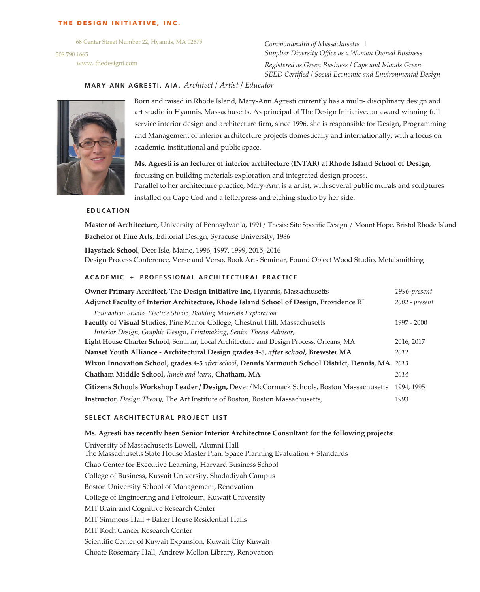#### THE DESIGN INITIATIVE, INC.

68 Center Street Number 22, Hyannis, MA 02675

508 790 1665 www. thedesigni.com *Commonwealth of Massachusetts | Supplier Diversity Office as a Woman Owned Business Registered as Green Business / Cape and Islands Green SEED Certified / Social Economic and Environmental Design*

# **MARY-ANN AGRESTI, AIA,** *Architect / Artist / Educator*



Born and raised in Rhode Island, Mary-Ann Agresti currently has a multi- disciplinary design and art studio in Hyannis, Massachusetts. As principal of The Design Initiative, an award winning full service interior design and architecture firm, since 1996, she is responsible for Design, Programming and Management of interior architecture projects domestically and internationally, with a focus on academic, institutional and public space.

**Ms. Agresti is an lecturer of interior architecture (INTAR) at Rhode Island School of Design**, focussing on building materials exploration and integrated design process. Parallel to her architecture practice, Mary-Ann is a artist, with several public murals and sculptures installed on Cape Cod and a letterpress and etching studio by her side.

#### **EDUCATION**

**Master of Architecture,** University of Pennsylvania, 1991/ Thesis: Site Specific Design / Mount Hope, Bristol Rhode Island **Bachelor of Fine Arts**, Editorial Design, Syracuse University, 1986

**Haystack School**, Deer Isle, Maine, 1996, 1997, 1999, 2015, 2016 Design Process Conference, Verse and Verso, Book Arts Seminar, Found Object Wood Studio, Metalsmithing

# **ACADEMIC + PROFESSIONAL ARCHITECTURAL PRACTICE**

| Owner Primary Architect, The Design Initiative Inc, Hyannis, Massachusetts                    | 1996-present       |
|-----------------------------------------------------------------------------------------------|--------------------|
| Adjunct Faculty of Interior Architecture, Rhode Island School of Design, Providence RI        | $2002$ - $present$ |
| Foundation Studio, Elective Studio, Building Materials Exploration                            |                    |
| Faculty of Visual Studies, Pine Manor College, Chestnut Hill, Massachusetts                   | 1997 - 2000        |
| Interior Design, Graphic Design, Printmaking, Senior Thesis Advisor,                          |                    |
| Light House Charter School, Seminar, Local Architecture and Design Process, Orleans, MA       | 2016, 2017         |
| Nauset Youth Alliance - Architectural Design grades 4-5, after school, Brewster MA            | 2012               |
| Wixon Innovation School, grades 4-5 after school, Dennis Yarmouth School District, Dennis, MA | 2013               |
| Chatham Middle School, lunch and learn, Chatham, MA                                           | 2014               |
| Citizens Schools Workshop Leader / Design, Dever / McCormack Schools, Boston Massachusetts    | 1994, 1995         |
| <b>Instructor</b> , <i>Design Theory</i> , The Art Institute of Boston, Boston Massachusetts, | 1993               |

# **SELECT ARCHITECTURAL PROJECT LIST**

#### **Ms. Agresti has recently been Senior Interior Architecture Consultant for the following projects:**

University of Massachusetts Lowell, Alumni Hall The Massachusetts State House Master Plan, Space Planning Evaluation + Standards Chao Center for Executive Learning, Harvard Business School College of Business, Kuwait University, Shadadiyah Campus Boston University School of Management, Renovation College of Engineering and Petroleum, Kuwait University MIT Brain and Cognitive Research Center MIT Simmons Hall + Baker House Residential Halls MIT Koch Cancer Research Center Scientific Center of Kuwait Expansion, Kuwait City Kuwait Choate Rosemary Hall, Andrew Mellon Library, Renovation